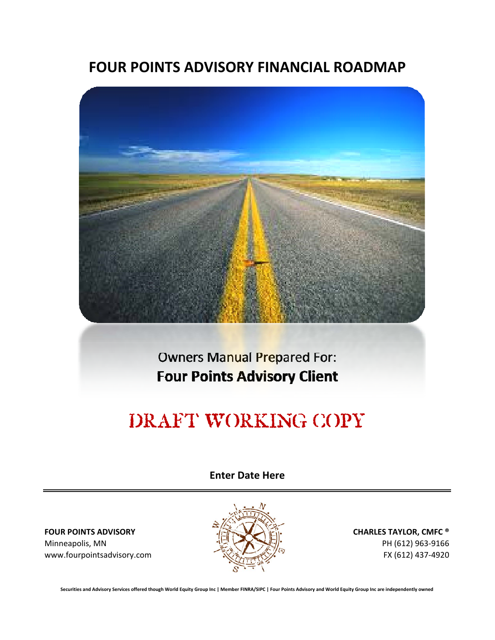## **FOUR POINTS ADVISORY FINANCIAL ROADMAP**



**Four Points Advisory Client** Owners Manual Prepared For:

# DRAFT WORKING COPY

**Enter Date Here**

Minneapolis, MN  $\frac{1}{2}$  PH (612) 963-9166 www.fourpointsadvisory.com FX (612) 437-4920



Securities and Advisory Services offered though World Equity Group Inc | Member FINRA/SIPC | Four Points Advisory and World Equity Group Inc are independently owned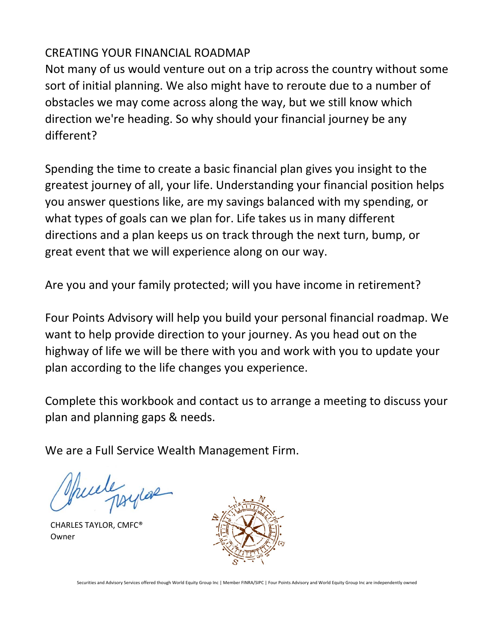#### CREATING YOUR FINANCIAL ROADMAP

Not many of us would venture out on a trip across the country without some sort of initial planning. We also might have to reroute due to a number of obstacles we may come across along the way, but we still know which direction we're heading. So why should your financial journey be any different?

Spending the time to create a basic financial plan gives you insight to the greatest journey of all, your life. Understanding your financial position helps you answer questions like, are my savings balanced with my spending, or what types of goals can we plan for. Life takes us in many different directions and a plan keeps us on track through the next turn, bump, or great event that we will experience along on our way.

Are you and your family protected; will you have income in retirement?

Four Points Advisory will help you build your personal financial roadmap. We want to help provide direction to your journey. As you head out on the highway of life we will be there with you and work with you to update your plan according to the life changes you experience.

Complete this workbook and contact us to arrange a meeting to discuss your plan and planning gaps & needs.

We are a Full Service Wealth Management Firm.

puele psylar

 Owner CHARLES TAYLOR, CMFC®

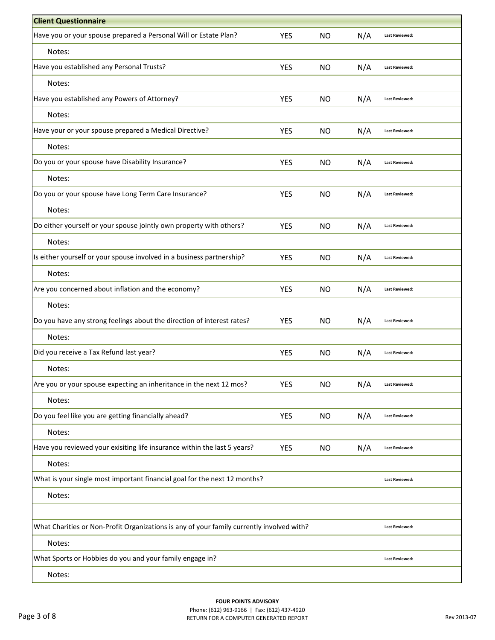| <b>Client Questionnaire</b>                                                               |            |           |     |                       |
|-------------------------------------------------------------------------------------------|------------|-----------|-----|-----------------------|
| Have you or your spouse prepared a Personal Will or Estate Plan?                          | <b>YES</b> | <b>NO</b> | N/A | <b>Last Reviewed:</b> |
| Notes:                                                                                    |            |           |     |                       |
| Have you established any Personal Trusts?                                                 | <b>YES</b> | <b>NO</b> | N/A | <b>Last Reviewed:</b> |
| Notes:                                                                                    |            |           |     |                       |
| Have you established any Powers of Attorney?                                              | <b>YES</b> | <b>NO</b> | N/A | <b>Last Reviewed:</b> |
| Notes:                                                                                    |            |           |     |                       |
| Have your or your spouse prepared a Medical Directive?                                    | <b>YES</b> | <b>NO</b> | N/A | <b>Last Reviewed:</b> |
| Notes:                                                                                    |            |           |     |                       |
| Do you or your spouse have Disability Insurance?                                          | <b>YES</b> | <b>NO</b> | N/A | <b>Last Reviewed:</b> |
| Notes:                                                                                    |            |           |     |                       |
| Do you or your spouse have Long Term Care Insurance?                                      | <b>YES</b> | <b>NO</b> | N/A | <b>Last Reviewed:</b> |
| Notes:                                                                                    |            |           |     |                       |
| Do either yourself or your spouse jointly own property with others?                       | <b>YES</b> | <b>NO</b> | N/A | <b>Last Reviewed:</b> |
| Notes:                                                                                    |            |           |     |                       |
| Is either yourself or your spouse involved in a business partnership?                     | <b>YES</b> | <b>NO</b> | N/A | <b>Last Reviewed:</b> |
| Notes:                                                                                    |            |           |     |                       |
| Are you concerned about inflation and the economy?                                        | YES        | <b>NO</b> | N/A | <b>Last Reviewed:</b> |
| Notes:                                                                                    |            |           |     |                       |
| Do you have any strong feelings about the direction of interest rates?                    | <b>YES</b> | <b>NO</b> | N/A | <b>Last Reviewed:</b> |
| Notes:                                                                                    |            |           |     |                       |
| Did you receive a Tax Refund last year?                                                   | <b>YES</b> | <b>NO</b> | N/A | <b>Last Reviewed:</b> |
| Notes:                                                                                    |            |           |     |                       |
| Are you or your spouse expecting an inheritance in the next 12 mos?                       | <b>YES</b> | <b>NO</b> | N/A | <b>Last Reviewed:</b> |
| Notes:                                                                                    |            |           |     |                       |
| Do you feel like you are getting financially ahead?                                       | <b>YES</b> | <b>NO</b> | N/A | <b>Last Reviewed:</b> |
| Notes:                                                                                    |            |           |     |                       |
| Have you reviewed your exisiting life insurance within the last 5 years?                  | <b>YES</b> | <b>NO</b> | N/A | <b>Last Reviewed:</b> |
| Notes:                                                                                    |            |           |     |                       |
| What is your single most important financial goal for the next 12 months?                 |            |           |     | <b>Last Reviewed:</b> |
| Notes:                                                                                    |            |           |     |                       |
|                                                                                           |            |           |     |                       |
| What Charities or Non-Profit Organizations is any of your family currently involved with? |            |           |     | <b>Last Reviewed:</b> |
| Notes:                                                                                    |            |           |     |                       |
| What Sports or Hobbies do you and your family engage in?                                  |            |           |     | <b>Last Reviewed:</b> |
| Notes:                                                                                    |            |           |     |                       |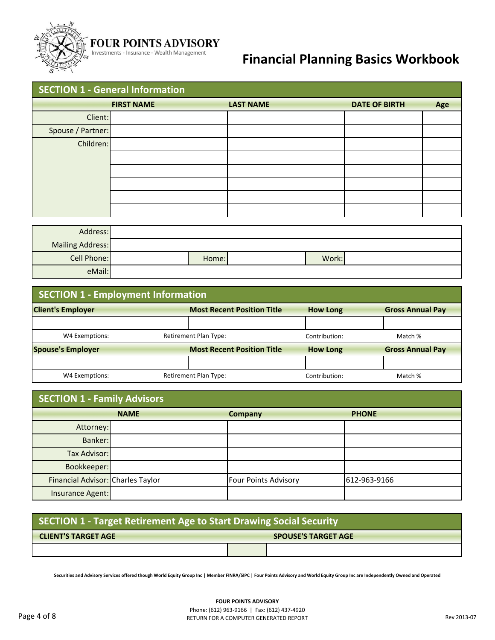

## **FOUR POINTS ADVISORY**<br>Investments - Insurance - Wealth Management

## **Financial Planning Basics Workbook**

| <b>SECTION 1 - General Information</b> |                   |                  |                      |     |  |  |  |
|----------------------------------------|-------------------|------------------|----------------------|-----|--|--|--|
|                                        | <b>FIRST NAME</b> | <b>LAST NAME</b> | <b>DATE OF BIRTH</b> | Age |  |  |  |
| Client:                                |                   |                  |                      |     |  |  |  |
| Spouse / Partner:                      |                   |                  |                      |     |  |  |  |
| Children:                              |                   |                  |                      |     |  |  |  |
|                                        |                   |                  |                      |     |  |  |  |
|                                        |                   |                  |                      |     |  |  |  |
|                                        |                   |                  |                      |     |  |  |  |
|                                        |                   |                  |                      |     |  |  |  |
|                                        |                   |                  |                      |     |  |  |  |
|                                        |                   |                  |                      |     |  |  |  |

| Address:           |       |       |  |
|--------------------|-------|-------|--|
| Mailing Address:   |       |       |  |
| <b>Cell Phone:</b> | Home: | Work: |  |
| eMail:             |       |       |  |

| <b>SECTION 1 - Employment Information</b> |                                   |                 |                         |  |  |  |
|-------------------------------------------|-----------------------------------|-----------------|-------------------------|--|--|--|
| <b>Client's Employer</b>                  | <b>Most Recent Position Title</b> | <b>How Long</b> | <b>Gross Annual Pay</b> |  |  |  |
|                                           |                                   |                 |                         |  |  |  |
| W4 Exemptions:                            | <b>Retirement Plan Type:</b>      | Contribution:   | Match %                 |  |  |  |
| <b>Spouse's Employer</b>                  | <b>Most Recent Position Title</b> | <b>How Long</b> | <b>Gross Annual Pay</b> |  |  |  |
|                                           |                                   |                 |                         |  |  |  |
| W4 Exemptions:                            | <b>Retirement Plan Type:</b>      | Contribution:   | Match %                 |  |  |  |

| <b>SECTION 1 - Family Advisors</b> |             |                             |              |  |  |  |
|------------------------------------|-------------|-----------------------------|--------------|--|--|--|
|                                    | <b>NAME</b> | Company                     | <b>PHONE</b> |  |  |  |
| Attorney:                          |             |                             |              |  |  |  |
| Banker:                            |             |                             |              |  |  |  |
| Tax Advisor:                       |             |                             |              |  |  |  |
| Bookkeeper:                        |             |                             |              |  |  |  |
| Financial Advisor: Charles Taylor  |             | <b>Four Points Advisory</b> | 612-963-9166 |  |  |  |
| Insurance Agent:                   |             |                             |              |  |  |  |

| SECTION 1 - Target Retirement Age to Start Drawing Social Security |  |  |  |  |
|--------------------------------------------------------------------|--|--|--|--|
| <b>CLIENT'S TARGET AGE</b><br><b>SPOUSE'S TARGET AGE</b>           |  |  |  |  |
|                                                                    |  |  |  |  |

Securities and Advisory Services offered though World Equity Group Inc | Member FINRA/SIPC | Four Points Advisory and World Equity Group Inc are Independently Owned and Operated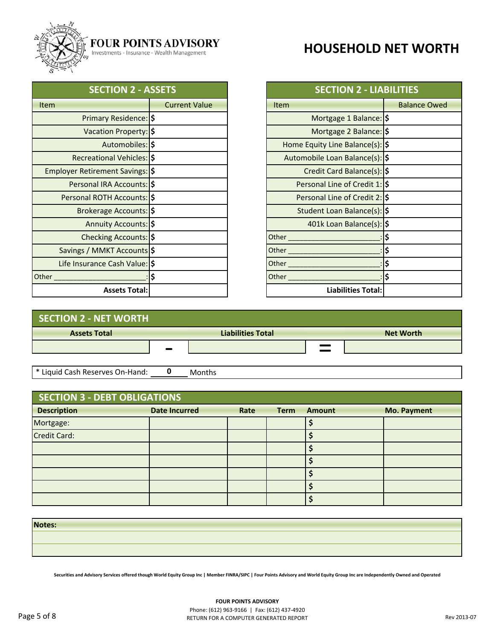

#### **FOUR POINTS ADVISORY**

Investments - Insurance - Wealth Management

## **HOUSEHOLD NET WORTH**

| <b>SECTION 2 - ASSETS</b>       |                      | <b>SECTION 2 - LIABILITIES</b>   |                     |
|---------------------------------|----------------------|----------------------------------|---------------------|
| <b>Item</b>                     | <b>Current Value</b> | <b>Item</b>                      | <b>Balance Owed</b> |
| Primary Residence: \$           |                      | Mortgage 1 Balance: \$           |                     |
| Vacation Property: \$           |                      | Mortgage 2 Balance: \$           |                     |
| Automobiles: \$                 |                      | Home Equity Line Balance(s):  \$ |                     |
| Recreational Vehicles: \$       |                      | Automobile Loan Balance(s):  \$  |                     |
| Employer Retirement Savings: \$ |                      | Credit Card Balance(s): \$       |                     |
| Personal IRA Accounts: \$       |                      | Personal Line of Credit 1: \$    |                     |
| Personal ROTH Accounts:  \$     |                      | Personal Line of Credit 2: \$    |                     |
| Brokerage Accounts: \$          |                      | Student Loan Balance(s):  \$     |                     |
| Annuity Accounts:  \$           |                      | 401k Loan Balance(s): \$         |                     |
| Checking Accounts: \$           |                      | Other <sub>_____</sub>           |                     |
| Savings / MMKT Accounts \$      |                      | Other                            |                     |
| Life Insurance Cash Value: S    |                      | Other                            |                     |
| Other                           |                      | Other                            |                     |
| <b>Assets Total:</b>            |                      | <b>Liabilities Total:</b>        |                     |

| <b>SECTION 2 - ASSETS</b> |                      | <b>SECTION 2 - LIABILITIES</b>   |                     |
|---------------------------|----------------------|----------------------------------|---------------------|
|                           | <b>Current Value</b> | <b>Item</b>                      | <b>Balance Owed</b> |
| imary Residence: \$       |                      | Mortgage 1 Balance: \$           |                     |
| acation Property: S       |                      | Mortgage 2 Balance: \$           |                     |
| Automobiles: \$           |                      | Home Equity Line Balance(s):  \$ |                     |
| eational Vehicles: S      |                      | Automobile Loan Balance(s):  \$  |                     |
| tirement Savings: S       |                      | Credit Card Balance(s): \$       |                     |
| nal IRA Accounts: S       |                      | Personal Line of Credit 1: \$    |                     |
| <b>ROTH Accounts: \$</b>  |                      | Personal Line of Credit 2: \$    |                     |
| kerage Accounts: S        |                      | Student Loan Balance(s):  \$     |                     |
| nnuity Accounts: S        |                      | 401k Loan Balance(s): \$         |                     |
| ecking Accounts: \$       |                      | Other                            |                     |
| MMKT Accounts \$          |                      | Other_                           | Ś                   |
| ance Cash Value: S        |                      | Other                            |                     |
|                           |                      | Other                            | Ś                   |
| <b>Assets Total:</b>      |                      | <b>Liabilities Total:</b>        |                     |

| SECTION 2 - NET WORTH           |                          |                  |
|---------------------------------|--------------------------|------------------|
| <b>Assets Total</b>             | <b>Liabilities Total</b> | <b>Net Worth</b> |
|                                 |                          |                  |
|                                 |                          |                  |
| * Liquid Cash Reserves On-Hand: | Months                   |                  |

| SECTION 3 - DEBT OBLIGATIONS |                      |      |             |               |                    |  |
|------------------------------|----------------------|------|-------------|---------------|--------------------|--|
| <b>Description</b>           | <b>Date Incurred</b> | Rate | <b>Term</b> | <b>Amount</b> | <b>Mo. Payment</b> |  |
| Mortgage:                    |                      |      |             |               |                    |  |
| Credit Card:                 |                      |      |             |               |                    |  |
|                              |                      |      |             |               |                    |  |
|                              |                      |      |             |               |                    |  |
|                              |                      |      |             |               |                    |  |
|                              |                      |      |             |               |                    |  |
|                              |                      |      |             |               |                    |  |

**Notes:**

Securities and Advisory Services offered though World Equity Group Inc | Member FINRA/SIPC | Four Points Advisory and World Equity Group Inc are Independently Owned and Operated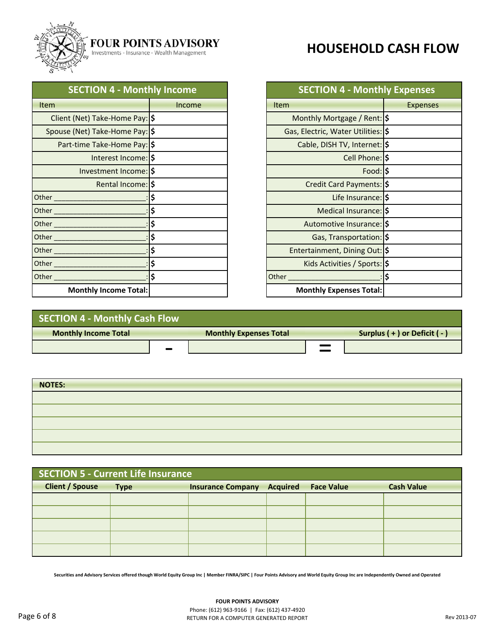

#### **FOUR POINTS ADVISORY**

Investments - Insurance - Wealth Management

| <b>SECTION 4 - Monthly Income</b> |        |
|-----------------------------------|--------|
| <b>Item</b>                       | Income |
| Client (Net) Take-Home Pay:  \$   |        |
| Spouse (Net) Take-Home Pay:  \$   |        |
| Part-time Take-Home Pay:  \$      |        |
| Interest Income:  \$              |        |
| Investment Income: S              |        |
| Rental Income: \$                 |        |
|                                   |        |
|                                   |        |
|                                   |        |
| Other                             |        |
| Other_                            |        |
| Other_                            |        |
| Other                             |        |
| <b>Monthly Income Total:</b>      |        |

### **HOUSEHOLD CASH FLOW**

| <b>SECTION 4 - Monthly Income</b> |        | <b>SECTION 4 - Monthly Expenses</b> |                 |
|-----------------------------------|--------|-------------------------------------|-----------------|
|                                   | Income | <b>Item</b>                         | <b>Expenses</b> |
| t (Net) Take-Home Pay: S          |        | Monthly Mortgage / Rent:  \$        |                 |
| e (Net) Take-Home Pay: S          |        | Gas, Electric, Water Utilities:  \$ |                 |
| t-time Take-Home Pay: S           |        | Cable, DISH TV, Internet:  \$       |                 |
| Interest Income: \$               |        | Cell Phone: \$                      |                 |
| Investment Income: S              |        | Food: S                             |                 |
| Rental Income: \$                 |        | Credit Card Payments: \$            |                 |
|                                   |        | Life Insurance: \$                  |                 |
|                                   |        | Medical Insurance: S                |                 |
|                                   |        | Automotive Insurance: S             |                 |
|                                   |        | Gas, Transportation: \$             |                 |
|                                   |        | Entertainment, Dining Out: S        |                 |
|                                   |        | Kids Activities / Sports: \$        |                 |
|                                   |        | Other                               |                 |
| <b>Monthly Income Total:</b>      |        | Monthly Expenses Total:             |                 |

| SECTION 4 - Monthly Cash Flow |  |                               |  |                                |  |
|-------------------------------|--|-------------------------------|--|--------------------------------|--|
| <b>Monthly Income Total</b>   |  | <b>Monthly Expenses Total</b> |  | Surplus $(+)$ or Deficit $(-)$ |  |
|                               |  |                               |  |                                |  |
|                               |  |                               |  |                                |  |

| <b>NOTES:</b> |  |
|---------------|--|
|               |  |
|               |  |
|               |  |
|               |  |
|               |  |

| <b>SECTION 5 - Current Life Insurance</b> |             |                          |                 |                   |                   |
|-------------------------------------------|-------------|--------------------------|-----------------|-------------------|-------------------|
| <b>Client / Spouse</b>                    | <b>Type</b> | <b>Insurance Company</b> | <b>Acquired</b> | <b>Face Value</b> | <b>Cash Value</b> |
|                                           |             |                          |                 |                   |                   |
|                                           |             |                          |                 |                   |                   |
|                                           |             |                          |                 |                   |                   |
|                                           |             |                          |                 |                   |                   |
|                                           |             |                          |                 |                   |                   |

Securities and Advisory Services offered though World Equity Group Inc | Member FINRA/SIPC | Four Points Advisory and World Equity Group Inc are Independently Owned and Operated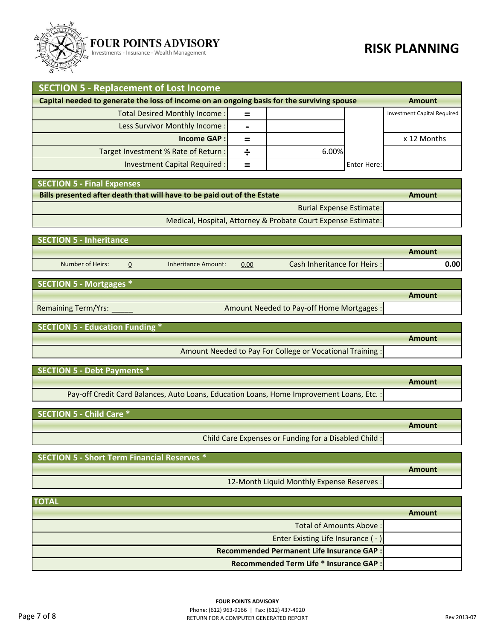

#### **FOUR POINTS ADVISORY**

Investments - Insurance - Wealth Management

#### **RISK PLANNING**

| <b>SECTION 5 - Replacement of Lost Income</b>                                              |   |       |             |                             |
|--------------------------------------------------------------------------------------------|---|-------|-------------|-----------------------------|
| Capital needed to generate the loss of income on an ongoing basis for the surviving spouse |   |       |             | Amount                      |
| Total Desired Monthly Income:                                                              | ⋍ |       |             | Investment Capital Required |
| Less Survivor Monthly Income:                                                              |   |       |             |                             |
| <b>Income GAP:</b>                                                                         | = |       |             | x 12 Months                 |
| Target Investment % Rate of Return :                                                       |   | 6.00% |             |                             |
| Investment Capital Required :                                                              |   |       | Enter Here: |                             |

 **SECTION 5 ‐ Final Expenses**

| Bills presented after death that will have to be paid out of the Estate | Amount |
|-------------------------------------------------------------------------|--------|
| <b>Burial Expense Estimate:</b>                                         |        |
| Medical, Hospital, Attorney & Probate Court Expense Estimate:           |        |

| <b>SECTION 5 - Inheritance</b> |                     |      |                             |        |
|--------------------------------|---------------------|------|-----------------------------|--------|
|                                |                     |      |                             | Amount |
| Number of Heirs:               | Inheritance Amount: | 0.00 | Cash Inheritance for Heirs: | 0.00   |

 **SECTION 5 ‐ Mortgages \***

| <b>Remaining Term/Yrs:</b> |  |
|----------------------------|--|
|----------------------------|--|

Amount Needed to Pay-off Home Mortgages :

 **SECTION 5 ‐ Education Funding \***

Amount Needed to Pay For College or Vocational Training :

**Amount**

**Amount**

**Amount**

**Amount**

 **SECTION 5 ‐ Debt Payments \***

Pay-off Credit Card Balances, Auto Loans, Education Loans, Home Improvement Loans, Etc. :

 **SECTION 5 ‐ Child Care \***

Child Care Expenses or Funding for a Disabled Child :

 **SECTION 5 ‐ Short Term Financial Reserves \* Amount** 12‐Month Liquid Monthly Expense Reserves :

| <b>TOTAL</b>                                     |        |
|--------------------------------------------------|--------|
|                                                  | Amount |
| Total of Amounts Above:                          |        |
| Enter Existing Life Insurance (-)                |        |
| <b>Recommended Permanent Life Insurance GAP:</b> |        |
| Recommended Term Life * Insurance GAP :          |        |